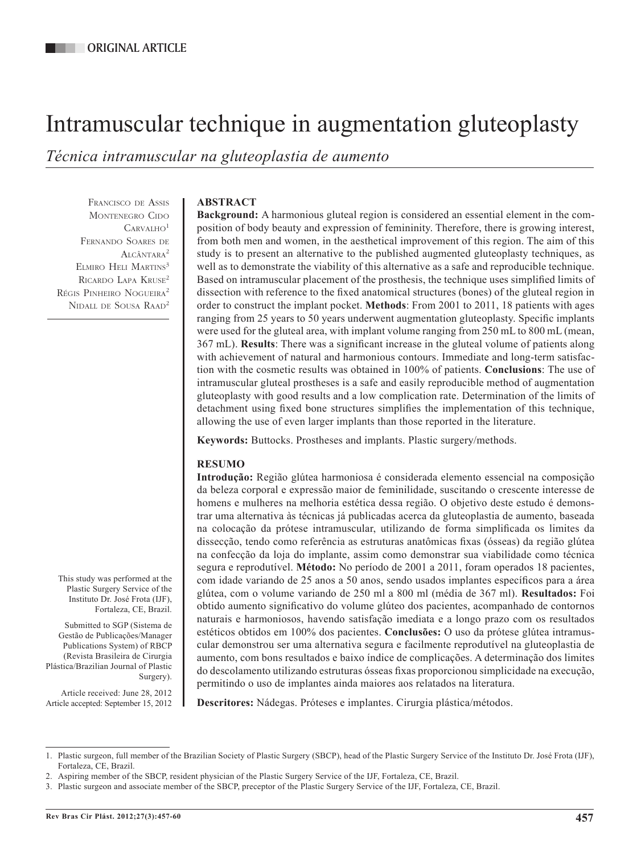# Intramuscular technique in augmentation gluteoplasty

*Técnica intramuscular na gluteoplastia de aumento*

Francisco de Assis MONTENEGRO CIDO  $C$ ARVALHO<sup>1</sup> Fernando Soares de Alcântara2 ELMIRO HELI MARTINS<sup>3</sup> Ricardo Lapa Kruse2 Régis Pinheiro Nogueira<sup>2</sup> Nidall de Sousa Raad2

## **ABSTRACT**

**Background:** A harmonious gluteal region is considered an essential element in the composition of body beauty and expression of femininity. Therefore, there is growing interest, from both men and women, in the aesthetical improvement of this region. The aim of this study is to present an alternative to the published augmented gluteoplasty techniques, as well as to demonstrate the viability of this alternative as a safe and reproducible technique. Based on intramuscular placement of the prosthesis, the technique uses simplified limits of dissection with reference to the fixed anatomical structures (bones) of the gluteal region in order to construct the implant pocket. **Methods**: From 2001 to 2011, 18 patients with ages ranging from 25 years to 50 years underwent augmentation gluteoplasty. Specific implants were used for the gluteal area, with implant volume ranging from 250 mL to 800 mL (mean, 367 mL). **Results**: There was a significant increase in the gluteal volume of patients along with achievement of natural and harmonious contours. Immediate and long-term satisfaction with the cosmetic results was obtained in 100% of patients. **Conclusions**: The use of intramuscular gluteal prostheses is a safe and easily reproducible method of augmentation gluteoplasty with good results and a low complication rate. Determination of the limits of detachment using fixed bone structures simplifies the implementation of this technique, allowing the use of even larger implants than those reported in the literature.

**Keywords:** Buttocks. Prostheses and implants. Plastic surgery/methods.

## **RESUMO**

**Introdução:** Região glútea harmoniosa é considerada elemento essencial na composição da beleza corporal e expressão maior de feminilidade, suscitando o crescente interesse de homens e mulheres na melhoria estética dessa região. O objetivo deste estudo é demonstrar uma alternativa às técnicas já publicadas acerca da gluteoplastia de aumento, baseada na colocação da prótese intramuscular, utilizando de forma simplificada os limites da dissecção, tendo como referência as estruturas anatômicas fixas (ósseas) da região glútea na confecção da loja do implante, assim como demonstrar sua viabilidade como técnica segura e reprodutível. **Método:** No período de 2001 a 2011, foram operados 18 pacientes, com idade variando de 25 anos a 50 anos, sendo usados implantes específicos para a área glútea, com o volume variando de 250 ml a 800 ml (média de 367 ml). **Resultados:** Foi obtido aumento significativo do volume glúteo dos pacientes, acompanhado de contornos naturais e harmoniosos, havendo satisfação imediata e a longo prazo com os resultados estéticos obtidos em 100% dos pacientes. **Conclusões:** O uso da prótese glútea intramuscular demonstrou ser uma alternativa segura e facilmente reprodutível na gluteoplastia de aumento, com bons resultados e baixo índice de complicações. A determinação dos limites do descolamento utilizando estruturas ósseas fixas proporcionou simplicidade na execução, permitindo o uso de implantes ainda maiores aos relatados na literatura.

**Descritores:** Nádegas. Próteses e implantes. Cirurgia plástica/métodos.

This study was performed at the Plastic Surgery Service of the Instituto Dr. José Frota (IJF), Fortaleza, CE, Brazil.

Submitted to SGP (Sistema de Gestão de Publicações/Manager Publications System) of RBCP (Revista Brasileira de Cirurgia Plástica/Brazilian Journal of Plastic

Article received: June 28, 2012 Article accepted: September 15, 2012

Surgery).

<sup>1.</sup> Plastic surgeon, full member of the Brazilian Society of Plastic Surgery (SBCP), head of the Plastic Surgery Service of the Instituto Dr. José Frota (IJF), Fortaleza, CE, Brazil.

<sup>2.</sup> Aspiring member of the SBCP, resident physician of the Plastic Surgery Service of the IJF, Fortaleza, CE, Brazil.

<sup>3.</sup> Plastic surgeon and associate member of the SBCP, preceptor of the Plastic Surgery Service of the IJF, Fortaleza, CE, Brazil.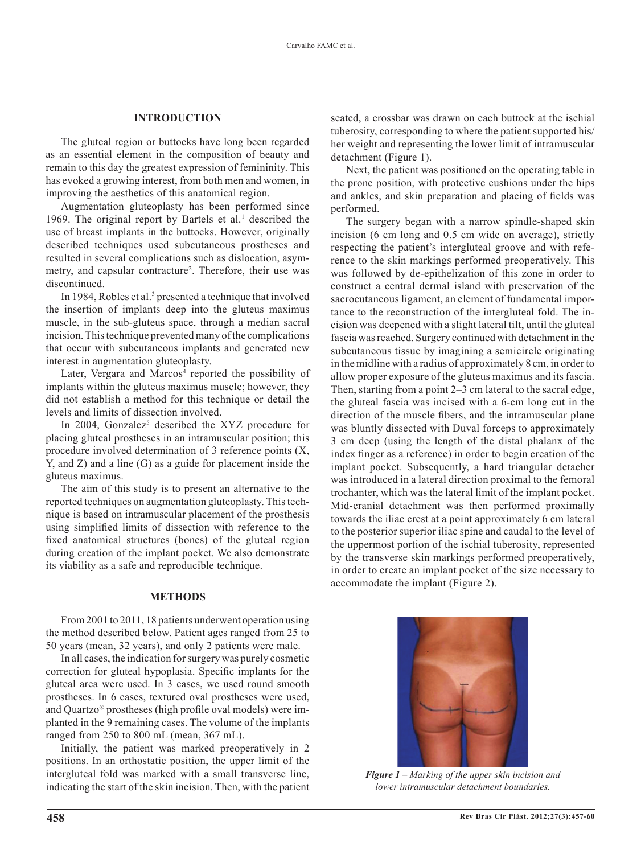### **INTRODUCTION**

The gluteal region or buttocks have long been regarded as an essential element in the composition of beauty and remain to this day the greatest expression of femininity. This has evoked a growing interest, from both men and women, in improving the aesthetics of this anatomical region.

Augmentation gluteoplasty has been performed since 1969. The original report by Bartels et al. $<sup>1</sup>$  described the</sup> use of breast implants in the buttocks. However, originally described techniques used subcutaneous prostheses and resulted in several complications such as dislocation, asymmetry, and capsular contracture<sup>2</sup>. Therefore, their use was discontinued.

In 1984, Robles et al.<sup>3</sup> presented a technique that involved the insertion of implants deep into the gluteus maximus muscle, in the sub-gluteus space, through a median sacral incision. This technique prevented many of the complications that occur with subcutaneous implants and generated new interest in augmentation gluteoplasty.

Later, Vergara and Marcos<sup>4</sup> reported the possibility of implants within the gluteus maximus muscle; however, they did not establish a method for this technique or detail the levels and limits of dissection involved.

In 2004, Gonzalez<sup>5</sup> described the XYZ procedure for placing gluteal prostheses in an intramuscular position; this procedure involved determination of 3 reference points (X, Y, and Z) and a line (G) as a guide for placement inside the gluteus maximus.

The aim of this study is to present an alternative to the reported techniques on augmentation gluteoplasty. This tech nique is based on intramuscular placement of the prosthesis using simplified limits of dissection with reference to the fixed anatomical structures (bones) of the gluteal region during creation of the implant pocket. We also demonstrate its viability as a safe and reproducible technique.

### **METHODS**

From 2001 to 2011, 18 patients underwent operation using the method described below. Patient ages ranged from 25 to 50 years (mean, 32 years), and only 2 patients were male.

In all cases, the indication for surgery was purely cosmetic correction for gluteal hypoplasia. Specific implants for the gluteal area were used. In 3 cases, we used round smooth prostheses. In 6 cases, textured oval prostheses were used, and Quartzo® prostheses (high profile oval models) were implanted in the 9 remaining cases. The volume of the implants ranged from 250 to 800 mL (mean, 367 mL).

Initially, the patient was marked preoperatively in 2 positions. In an orthostatic position, the upper limit of the intergluteal fold was marked with a small transverse line, indicating the start of the skin incision. Then, with the patient seated, a crossbar was drawn on each buttock at the ischial tuberosity, corresponding to where the patient supported his/ her weight and representing the lower limit of intramuscular detachment (Figure 1).

Next, the patient was positioned on the operating table in the prone position, with protective cushions under the hips and ankles, and skin preparation and placing of fields was performed.

The surgery began with a narrow spindle-shaped skin incision (6 cm long and 0.5 cm wide on average), strictly respecting the patient's intergluteal groove and with reference to the skin markings performed preoperatively. This was followed by de-epithelization of this zone in order to construct a central dermal island with preservation of the sacrocutaneous ligament, an element of fundamental importance to the reconstruction of the intergluteal fold. The incision was deepened with a slight lateral tilt, until the gluteal fascia was reached. Surgery continued with detachment in the subcutaneous tissue by imagining a semicircle originating in the midline with a radius of approximately 8 cm, in order to allow proper exposure of the gluteus maximus and its fascia. Then, starting from a point 2–3 cm lateral to the sacral edge, the gluteal fascia was incised with a 6-cm long cut in the direction of the muscle fibers, and the intramuscular plane was bluntly dissected with Duval forceps to approximately 3 cm deep (using the length of the distal phalanx of the index finger as a reference) in order to begin creation of the implant pocket. Subsequently, a hard triangular detacher was introduced in a lateral direction proximal to the femoral trochanter, which was the lateral limit of the implant pocket. Mid-cranial detachment was then performed proximally towards the iliac crest at a point approximately 6 cm lateral to the posterior superior iliac spine and caudal to the level of the uppermost portion of the ischial tuberosity, represented by the transverse skin markings performed preoperatively, in order to create an implant pocket of the size necessary to accommodate the implant (Figure 2).



*Figure 1 – Marking of the upper skin incision and lower intramuscular detachment boundaries.*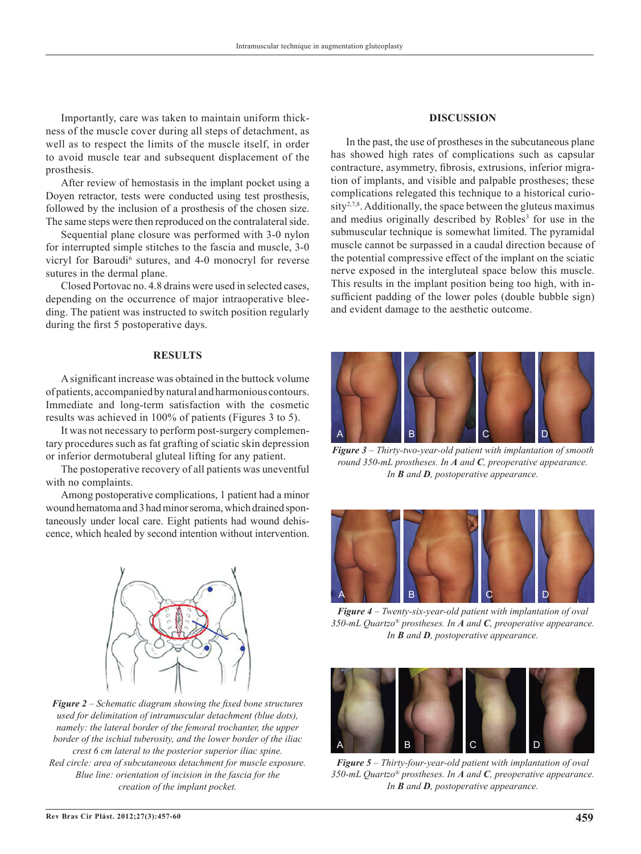Importantly, care was taken to maintain uniform thickness of the muscle cover during all steps of detachment, as well as to respect the limits of the muscle itself, in order to avoid muscle tear and subsequent displacement of the prosthesis.

After review of hemostasis in the implant pocket using a Doyen retractor, tests were conducted using test prosthesis, followed by the inclusion of a prosthesis of the chosen size. The same steps were then reproduced on the contralateral side.

Sequential plane closure was performed with 3-0 nylon for interrupted simple stitches to the fascia and muscle, 3-0 vicryl for Baroudi<sup>6</sup> sutures, and 4-0 monocryl for reverse sutures in the dermal plane.

Closed Portovac no. 4.8 drains were used in selected cases, depending on the occurrence of major intraoperative bleeding. The patient was instructed to switch position regularly during the first 5 postoperative days.

#### **RESULTS**

A significant increase was obtained in the buttock volume of patients, accompanied by natural and harmonious contours. Immediate and long-term satisfaction with the cosmetic results was achieved in 100% of patients (Figures 3 to 5).

It was not necessary to perform post-surgery complementary procedures such as fat grafting of sciatic skin depression or inferior dermotuberal gluteal lifting for any patient.

The postoperative recovery of all patients was uneventful with no complaints.

Among postoperative complications, 1 patient had a minor wound hematoma and 3 had minor seroma, which drained spontaneously under local care. Eight patients had wound dehiscence, which healed by second intention without intervention.



*Figure 2 – Schematic diagram showing the fixed bone structures used for delimitation of intramuscular detachment (blue dots), namely: the lateral border of the femoral trochanter, the upper border of the ischial tuberosity, and the lower border of the iliac crest 6 cm lateral to the posterior superior iliac spine. Red circle: area of subcutaneous detachment for muscle exposure. Blue line: orientation of incision in the fascia for the creation of the implant pocket.*

#### **DISCUSSION**

In the past, the use of prostheses in the subcutaneous plane has showed high rates of complications such as capsular contracture, asymmetry, fibrosis, extrusions, inferior migration of implants, and visible and palpable prostheses; these complications relegated this technique to a historical curiosity<sup>2,7,8</sup>. Additionally, the space between the gluteus maximus and medius originally described by Robles<sup>3</sup> for use in the submuscular technique is somewhat limited. The pyramidal muscle cannot be surpassed in a caudal direction because of the potential compressive effect of the implant on the sciatic nerve exposed in the intergluteal space below this muscle. This results in the implant position being too high, with insufficient padding of the lower poles (double bubble sign) and evident damage to the aesthetic outcome.



*Figure 3 – Thirty-two-year-old patient with implantation of smooth round 350-mL prostheses. In A and C, preoperative appearance. In B and D, postoperative appearance.*



*Figure 4 – Twenty-six-year-old patient with implantation of oval 350-mL Quartzo® prostheses. In A and C, preoperative appearance. In B and D, postoperative appearance.*



*Figure 5 – Thirty-four-year-old patient with implantation of oval 350-mL Quartzo® prostheses. In A and C, preoperative appearance. In B and D, postoperative appearance.*